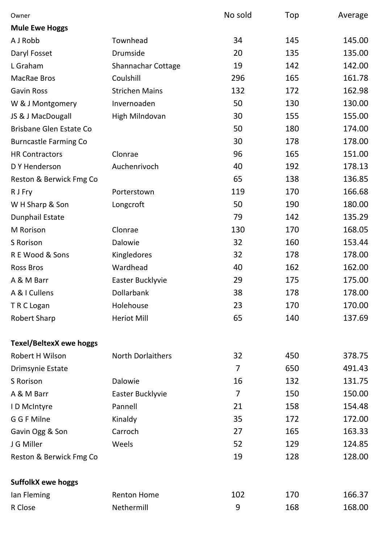| Owner                          |                          | No sold        | Top | Average |
|--------------------------------|--------------------------|----------------|-----|---------|
| <b>Mule Ewe Hoggs</b>          |                          |                |     |         |
| A J Robb                       | Townhead                 | 34             | 145 | 145.00  |
| Daryl Fosset                   | Drumside                 | 20             | 135 | 135.00  |
| L Graham                       | Shannachar Cottage       | 19             | 142 | 142.00  |
| <b>MacRae Bros</b>             | Coulshill                | 296            | 165 | 161.78  |
| <b>Gavin Ross</b>              | <b>Strichen Mains</b>    | 132            | 172 | 162.98  |
| W & J Montgomery               | Invernoaden              | 50             | 130 | 130.00  |
| JS & J MacDougall              | High Milndovan           | 30             | 155 | 155.00  |
| <b>Brisbane Glen Estate Co</b> |                          | 50             | 180 | 174.00  |
| <b>Burncastle Farming Co</b>   |                          | 30             | 178 | 178.00  |
| <b>HR Contractors</b>          | Clonrae                  | 96             | 165 | 151.00  |
| D Y Henderson                  | Auchenrivoch             | 40             | 192 | 178.13  |
| Reston & Berwick Fmg Co        |                          | 65             | 138 | 136.85  |
| R J Fry                        | Porterstown              | 119            | 170 | 166.68  |
| W H Sharp & Son                | Longcroft                | 50             | 190 | 180.00  |
| <b>Dunphail Estate</b>         |                          | 79             | 142 | 135.29  |
| M Rorison                      | Clonrae                  | 130            | 170 | 168.05  |
| S Rorison                      | Dalowie                  | 32             | 160 | 153.44  |
| R E Wood & Sons                | Kingledores              | 32             | 178 | 178.00  |
| <b>Ross Bros</b>               | Wardhead                 | 40             | 162 | 162.00  |
| A & M Barr                     | Easter Bucklyvie         | 29             | 175 | 175.00  |
| A & I Cullens                  | Dollarbank               | 38             | 178 | 178.00  |
| T R C Logan                    | Holehouse                | 23             | 170 | 170.00  |
| <b>Robert Sharp</b>            | <b>Heriot Mill</b>       | 65             | 140 | 137.69  |
| <b>Texel/BeltexX ewe hoggs</b> |                          |                |     |         |
| Robert H Wilson                | <b>North Dorlaithers</b> | 32             | 450 | 378.75  |
| Drimsynie Estate               |                          | $\overline{7}$ | 650 | 491.43  |
| S Rorison                      | Dalowie                  | 16             | 132 | 131.75  |
| A & M Barr                     | Easter Bucklyvie         | 7              | 150 | 150.00  |
| I D McIntyre                   | Pannell                  | 21             | 158 | 154.48  |
| G G F Milne                    | Kinaldy                  | 35             | 172 | 172.00  |
| Gavin Ogg & Son                | Carroch                  | 27             | 165 | 163.33  |
| J G Miller                     | Weels                    | 52             | 129 | 124.85  |
| Reston & Berwick Fmg Co        |                          | 19             | 128 | 128.00  |
| <b>SuffolkX ewe hoggs</b>      |                          |                |     |         |
| lan Fleming                    | <b>Renton Home</b>       | 102            | 170 | 166.37  |
| R Close                        | Nethermill               | 9              | 168 | 168.00  |